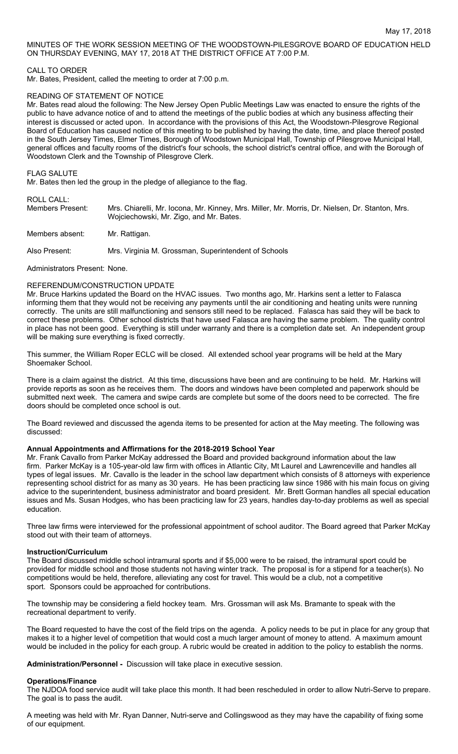MINUTES OF THE WORK SESSION MEETING OF THE WOODSTOWN-PILESGROVE BOARD OF EDUCATION HELD ON THURSDAY EVENING, MAY 17, 2018 AT THE DISTRICT OFFICE AT 7:00 P.M.

### CALL TO ORDER

Mr. Bates, President, called the meeting to order at 7:00 p.m.

### READING OF STATEMENT OF NOTICE

Mr. Bates read aloud the following: The New Jersey Open Public Meetings Law was enacted to ensure the rights of the public to have advance notice of and to attend the meetings of the public bodies at which any business affecting their interest is discussed or acted upon. In accordance with the provisions of this Act, the Woodstown-Pilesgrove Regional Board of Education has caused notice of this meeting to be published by having the date, time, and place thereof posted in the South Jersey Times, Elmer Times, Borough of Woodstown Municipal Hall, Township of Pilesgrove Municipal Hall, general offices and faculty rooms of the district's four schools, the school district's central office, and with the Borough of Woodstown Clerk and the Township of Pilesgrove Clerk.

### FLAG SALUTE

Mr. Bates then led the group in the pledge of allegiance to the flag.

# ROLL CALL:

| .<br>Members Present: | Mrs. Chiarelli, Mr. Iocona, Mr. Kinney, Mrs. Miller, Mr. Morris, Dr. Nielsen, Dr. Stanton, Mrs.<br>Wojciechowski, Mr. Zigo, and Mr. Bates. |
|-----------------------|--------------------------------------------------------------------------------------------------------------------------------------------|
| Members absent:       | Mr. Rattigan.                                                                                                                              |
| Also Present:         | Mrs. Virginia M. Grossman, Superintendent of Schools                                                                                       |

Administrators Present: None.

### REFERENDUM/CONSTRUCTION UPDATE

Mr. Bruce Harkins updated the Board on the HVAC issues. Two months ago, Mr. Harkins sent a letter to Falasca informing them that they would not be receiving any payments until the air conditioning and heating units were running correctly. The units are still malfunctioning and sensors still need to be replaced. Falasca has said they will be back to correct these problems. Other school districts that have used Falasca are having the same problem. The quality control in place has not been good. Everything is still under warranty and there is a completion date set. An independent group will be making sure everything is fixed correctly.

This summer, the William Roper ECLC will be closed. All extended school year programs will be held at the Mary Shoemaker School.

There is a claim against the district. At this time, discussions have been and are continuing to be held. Mr. Harkins will provide reports as soon as he receives them. The doors and windows have been completed and paperwork should be submitted next week. The camera and swipe cards are complete but some of the doors need to be corrected. The fire doors should be completed once school is out.

The Board reviewed and discussed the agenda items to be presented for action at the May meeting. The following was discussed:

### **Annual Appointments and Affirmations for the 2018-2019 School Year**

Mr. Frank Cavallo from Parker McKay addressed the Board and provided background information about the law firm. Parker McKay is a 105-year-old law firm with offices in Atlantic City, Mt Laurel and Lawrenceville and handles all types of legal issues. Mr. Cavallo is the leader in the school law department which consists of 8 attorneys with experience representing school district for as many as 30 years. He has been practicing law since 1986 with his main focus on giving advice to the superintendent, business administrator and board president. Mr. Brett Gorman handles all special education issues and Ms. Susan Hodges, who has been practicing law for 23 years, handles day-to-day problems as well as special education.

Three law firms were interviewed for the professional appointment of school auditor. The Board agreed that Parker McKay stood out with their team of attorneys.

### **Instruction/Curriculum**

The Board discussed middle school intramural sports and if \$5,000 were to be raised, the intramural sport could be provided for middle school and those students not having winter track. The proposal is for a stipend for a teacher(s). No competitions would be held, therefore, alleviating any cost for travel. This would be a club, not a competitive sport. Sponsors could be approached for contributions.

The township may be considering a field hockey team. Mrs. Grossman will ask Ms. Bramante to speak with the recreational department to verify.

The Board requested to have the cost of the field trips on the agenda. A policy needs to be put in place for any group that makes it to a higher level of competition that would cost a much larger amount of money to attend. A maximum amount would be included in the policy for each group. A rubric would be created in addition to the policy to establish the norms.

**Administration/Personnel -** Discussion will take place in executive session.

### **Operations/Finance**

The NJDOA food service audit will take place this month. It had been rescheduled in order to allow Nutri-Serve to prepare. The goal is to pass the audit.

A meeting was held with Mr. Ryan Danner, Nutri-serve and Collingswood as they may have the capability of fixing some of our equipment.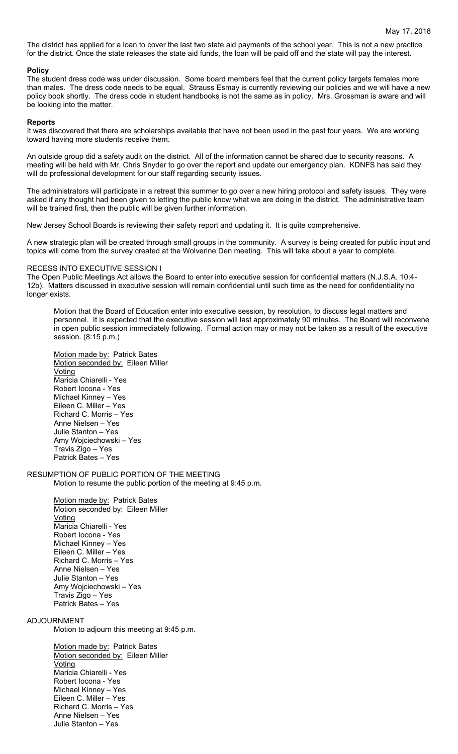The district has applied for a loan to cover the last two state aid payments of the school year. This is not a new practice for the district. Once the state releases the state aid funds, the loan will be paid off and the state will pay the interest.

### **Policy**

The student dress code was under discussion. Some board members feel that the current policy targets females more than males. The dress code needs to be equal. Strauss Esmay is currently reviewing our policies and we will have a new policy book shortly. The dress code in student handbooks is not the same as in policy. Mrs. Grossman is aware and will be looking into the matter.

### **Reports**

It was discovered that there are scholarships available that have not been used in the past four years. We are working toward having more students receive them.

An outside group did a safety audit on the district. All of the information cannot be shared due to security reasons. A meeting will be held with Mr. Chris Snyder to go over the report and update our emergency plan. KDNFS has said they will do professional development for our staff regarding security issues.

The administrators will participate in a retreat this summer to go over a new hiring protocol and safety issues. They were asked if any thought had been given to letting the public know what we are doing in the district. The administrative team will be trained first, then the public will be given further information.

New Jersey School Boards is reviewing their safety report and updating it. It is quite comprehensive.

A new strategic plan will be created through small groups in the community. A survey is being created for public input and topics will come from the survey created at the Wolverine Den meeting. This will take about a year to complete.

### RECESS INTO EXECUTIVE SESSION I

The Open Public Meetings Act allows the Board to enter into executive session for confidential matters (N.J.S.A. 10:4- 12b). Matters discussed in executive session will remain confidential until such time as the need for confidentiality no longer exists.

Motion that the Board of Education enter into executive session, by resolution, to discuss legal matters and personnel. It is expected that the executive session will last approximately 90 minutes. The Board will reconvene in open public session immediately following. Formal action may or may not be taken as a result of the executive session. (8:15 p.m.)

Motion made by: Patrick Bates Motion seconded by: Eileen Miller **Voting** Maricia Chiarelli - Yes Robert Iocona - Yes Michael Kinney – Yes Eileen C. Miller – Yes Richard C. Morris – Yes Anne Nielsen – Yes Julie Stanton – Yes Amy Wojciechowski – Yes Travis Zigo – Yes Patrick Bates – Yes

### RESUMPTION OF PUBLIC PORTION OF THE MEETING Motion to resume the public portion of the meeting at 9:45 p.m.

Motion made by: Patrick Bates Motion seconded by: Eileen Miller Voting Maricia Chiarelli - Yes Robert Iocona - Yes Michael Kinney – Yes Eileen C. Miller – Yes Richard C. Morris – Yes Anne Nielsen – Yes Julie Stanton – Yes Amy Wojciechowski – Yes Travis Zigo – Yes Patrick Bates – Yes

## ADJOURNMENT

Motion to adjourn this meeting at 9:45 p.m.

Motion made by: Patrick Bates Motion seconded by: Eileen Miller Voting Maricia Chiarelli - Yes Robert Iocona - Yes Michael Kinney – Yes Eileen C. Miller – Yes Richard C. Morris – Yes Anne Nielsen – Yes Julie Stanton – Yes